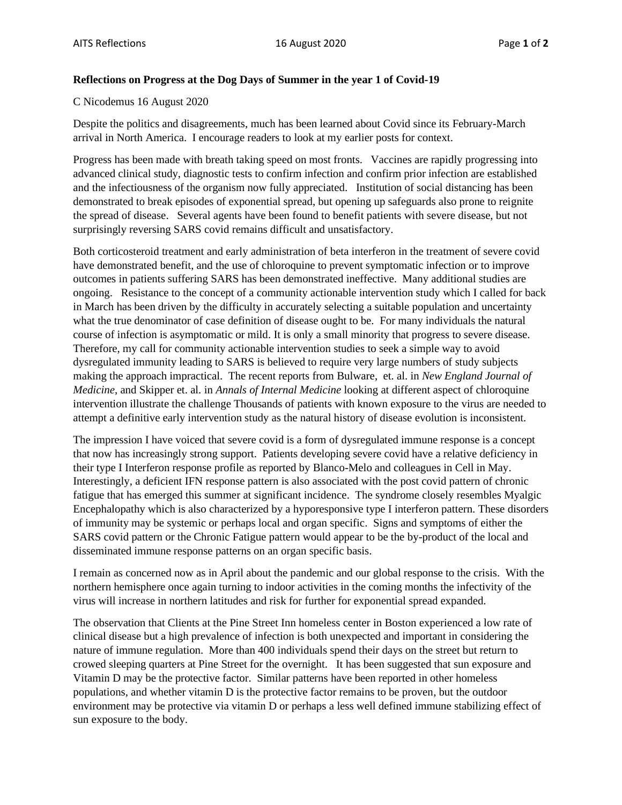## **Reflections on Progress at the Dog Days of Summer in the year 1 of Covid-19**

C Nicodemus 16 August 2020

Despite the politics and disagreements, much has been learned about Covid since its February-March arrival in North America. I encourage readers to look at my earlier posts for context.

Progress has been made with breath taking speed on most fronts. Vaccines are rapidly progressing into advanced clinical study, diagnostic tests to confirm infection and confirm prior infection are established and the infectiousness of the organism now fully appreciated. Institution of social distancing has been demonstrated to break episodes of exponential spread, but opening up safeguards also prone to reignite the spread of disease. Several agents have been found to benefit patients with severe disease, but not surprisingly reversing SARS covid remains difficult and unsatisfactory.

Both corticosteroid treatment and early administration of beta interferon in the treatment of severe covid have demonstrated benefit, and the use of chloroquine to prevent symptomatic infection or to improve outcomes in patients suffering SARS has been demonstrated ineffective. Many additional studies are ongoing. Resistance to the concept of a community actionable intervention study which I called for back in March has been driven by the difficulty in accurately selecting a suitable population and uncertainty what the true denominator of case definition of disease ought to be. For many individuals the natural course of infection is asymptomatic or mild. It is only a small minority that progress to severe disease. Therefore, my call for community actionable intervention studies to seek a simple way to avoid dysregulated immunity leading to SARS is believed to require very large numbers of study subjects making the approach impractical. The recent reports from Bulware, et. al. in *New England Journal of Medicine*, and Skipper et. al. in *Annals of Internal Medicine* looking at different aspect of chloroquine intervention illustrate the challenge Thousands of patients with known exposure to the virus are needed to attempt a definitive early intervention study as the natural history of disease evolution is inconsistent.

The impression I have voiced that severe covid is a form of dysregulated immune response is a concept that now has increasingly strong support. Patients developing severe covid have a relative deficiency in their type I Interferon response profile as reported by Blanco-Melo and colleagues in Cell in May. Interestingly, a deficient IFN response pattern is also associated with the post covid pattern of chronic fatigue that has emerged this summer at significant incidence. The syndrome closely resembles Myalgic Encephalopathy which is also characterized by a hyporesponsive type I interferon pattern. These disorders of immunity may be systemic or perhaps local and organ specific. Signs and symptoms of either the SARS covid pattern or the Chronic Fatigue pattern would appear to be the by-product of the local and disseminated immune response patterns on an organ specific basis.

I remain as concerned now as in April about the pandemic and our global response to the crisis. With the northern hemisphere once again turning to indoor activities in the coming months the infectivity of the virus will increase in northern latitudes and risk for further for exponential spread expanded.

The observation that Clients at the Pine Street Inn homeless center in Boston experienced a low rate of clinical disease but a high prevalence of infection is both unexpected and important in considering the nature of immune regulation. More than 400 individuals spend their days on the street but return to crowed sleeping quarters at Pine Street for the overnight. It has been suggested that sun exposure and Vitamin D may be the protective factor. Similar patterns have been reported in other homeless populations, and whether vitamin D is the protective factor remains to be proven, but the outdoor environment may be protective via vitamin D or perhaps a less well defined immune stabilizing effect of sun exposure to the body.